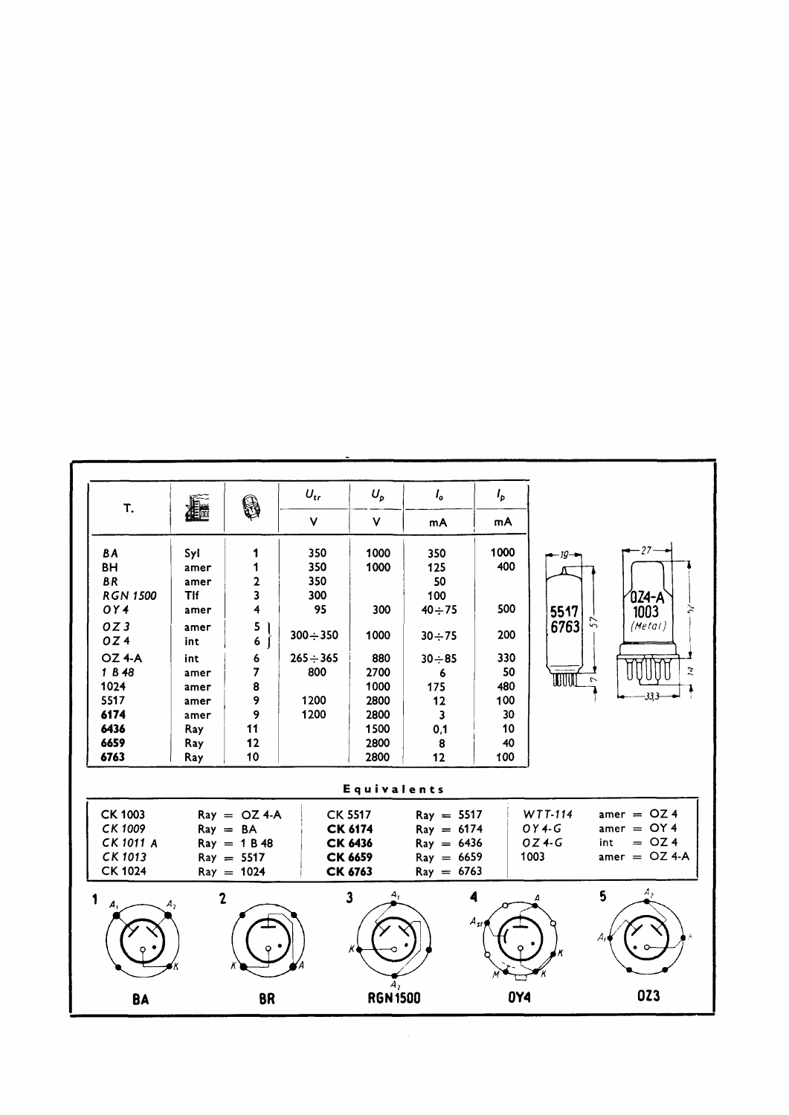